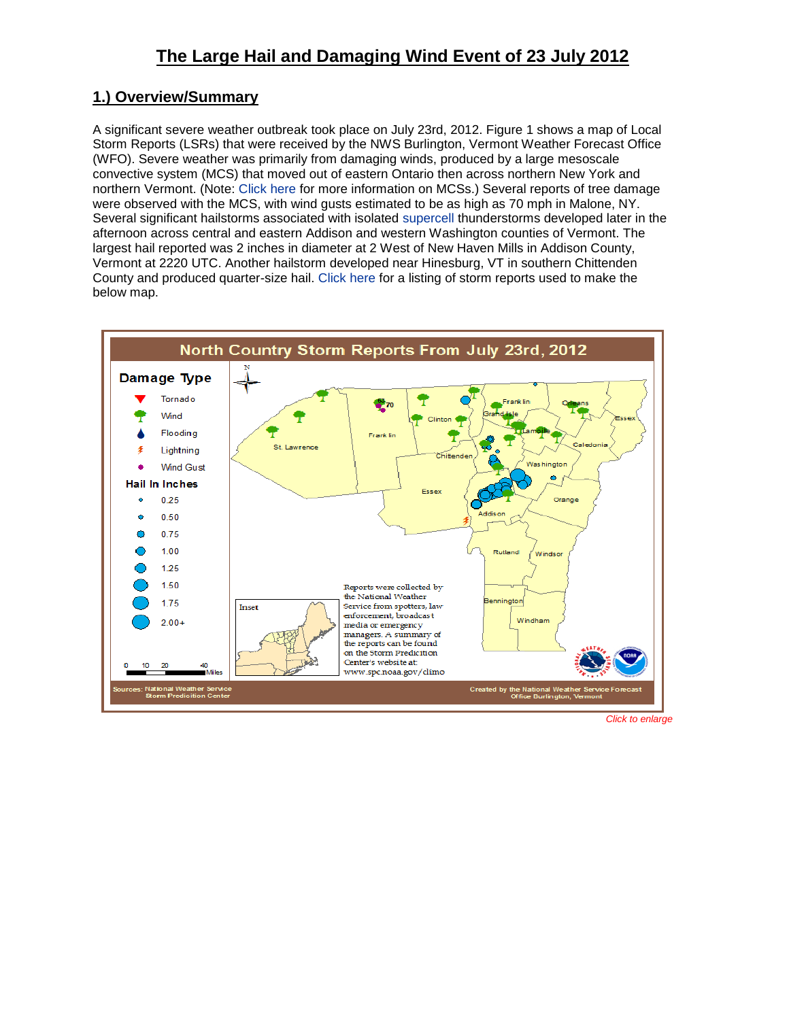# **1.) Overview/Summary**

A significant severe weather outbreak took place on July 23rd, 2012. Figure 1 shows a map of Local Storm Reports (LSRs) that were received by the NWS Burlington, Vermont Weather Forecast Office (WFO). Severe weather was primarily from damaging winds, produced by a large mesoscale convective system (MCS) that moved out of eastern Ontario then across northern New York and northern Vermont. (Note: [Click here](http://en.wikipedia.org/wiki/Mesoscale_convective_system) for more information on MCSs.) Several reports of tree damage were observed with the MCS, with wind gusts estimated to be as high as 70 mph in Malone, NY. Several significant hailstorms associated with isolated [supercell](http://en.wikipedia.org/wiki/Supercell) thunderstorms developed later in the afternoon across central and eastern Addison and western Washington counties of Vermont. The largest hail reported was 2 inches in diameter at 2 West of New Haven Mills in Addison County, Vermont at 2220 UTC. Another hailstorm developed near Hinesburg, VT in southern Chittenden County and produced quarter-size hail. [Click here](http://www.weather.gov/media/btv/events/23July2012/LSR.pdf) for a listing of storm reports used to make the below map.



*Click to enlarge*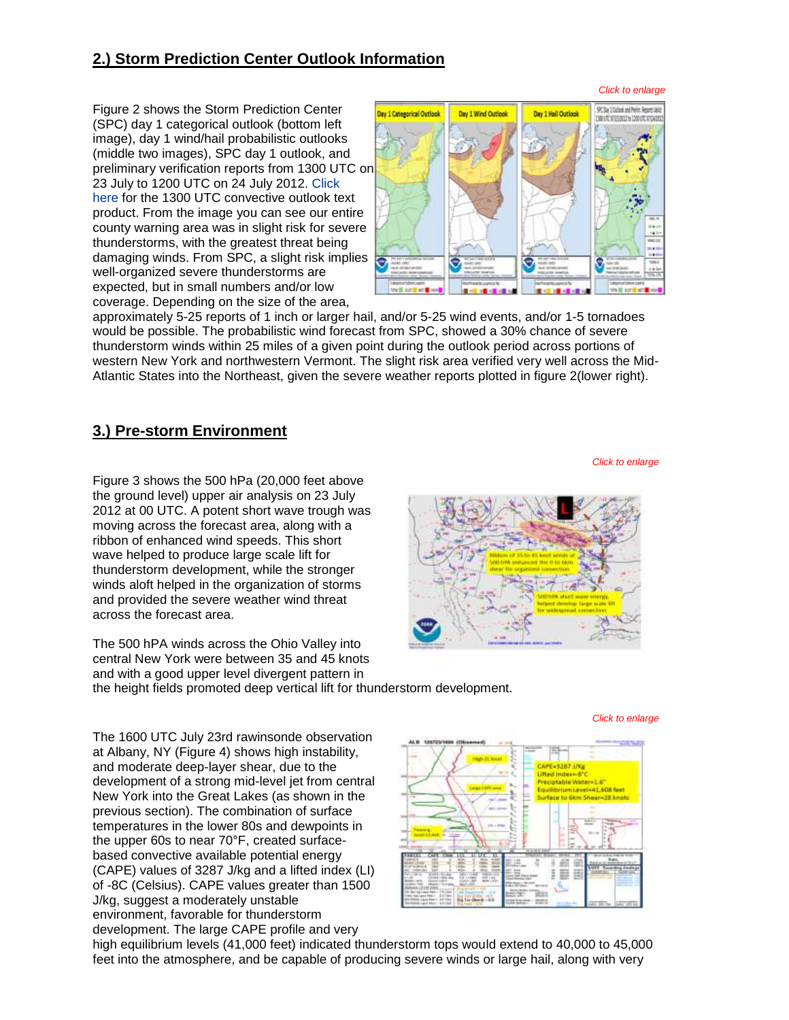## **2.) Storm Prediction Center Outlook Information**

*Click to enlarge*

*Click to enlarge*

*Click to enlarge*

Figure 2 shows the Storm Prediction Center (SPC) day 1 categorical outlook (bottom left image), day 1 wind/hail probabilistic outlooks (middle two images), SPC day 1 outlook, and preliminary verification reports from 1300 UTC on 23 July to 1200 UTC on 24 July 2012. [Click](http://www.weather.gov/media/btv/events/23July2012/SWODY1.pdf)  [here](http://www.weather.gov/media/btv/events/23July2012/SWODY1.pdf) for the 1300 UTC convective outlook text product. From the image you can see our entire county warning area was in slight risk for severe thunderstorms, with the greatest threat being damaging winds. From SPC, a slight risk implies well-organized severe thunderstorms are expected, but in small numbers and/or low coverage. Depending on the size of the area,



approximately 5-25 reports of 1 inch or larger hail, and/or 5-25 wind events, and/or 1-5 tornadoes would be possible. The probabilistic wind forecast from SPC, showed a 30% chance of severe thunderstorm winds within 25 miles of a given point during the outlook period across portions of western New York and northwestern Vermont. The slight risk area verified very well across the Mid-Atlantic States into the Northeast, given the severe weather reports plotted in figure 2(lower right).

### **3.) Pre-storm Environment**

Figure 3 shows the 500 hPa (20,000 feet above the ground level) upper air analysis on 23 July 2012 at 00 UTC. A potent short wave trough was moving across the forecast area, along with a ribbon of enhanced wind speeds. This short wave helped to produce large scale lift for thunderstorm development, while the stronger winds aloft helped in the organization of storms and provided the severe weather wind threat across the forecast area.

The 500 hPA winds across the Ohio Valley into central New York were between 35 and 45 knots and with a good upper level divergent pattern in the height fields promoted deep vertical lift for thunderstorm development.

The 1600 UTC July 23rd rawinsonde observation at Albany, NY (Figure 4) shows high instability, and moderate deep-layer shear, due to the development of a strong mid-level jet from central New York into the Great Lakes (as shown in the previous section). The combination of surface temperatures in the lower 80s and dewpoints in the upper 60s to near 70°F, created surfacebased convective available potential energy (CAPE) values of 3287 J/kg and a lifted index (LI) of -8C (Celsius). CAPE values greater than 1500 J/kg, suggest a moderately unstable environment, favorable for thunderstorm development. The large CAPE profile and very



high equilibrium levels (41,000 feet) indicated thunderstorm tops would extend to 40,000 to 45,000 feet into the atmosphere, and be capable of producing severe winds or large hail, along with very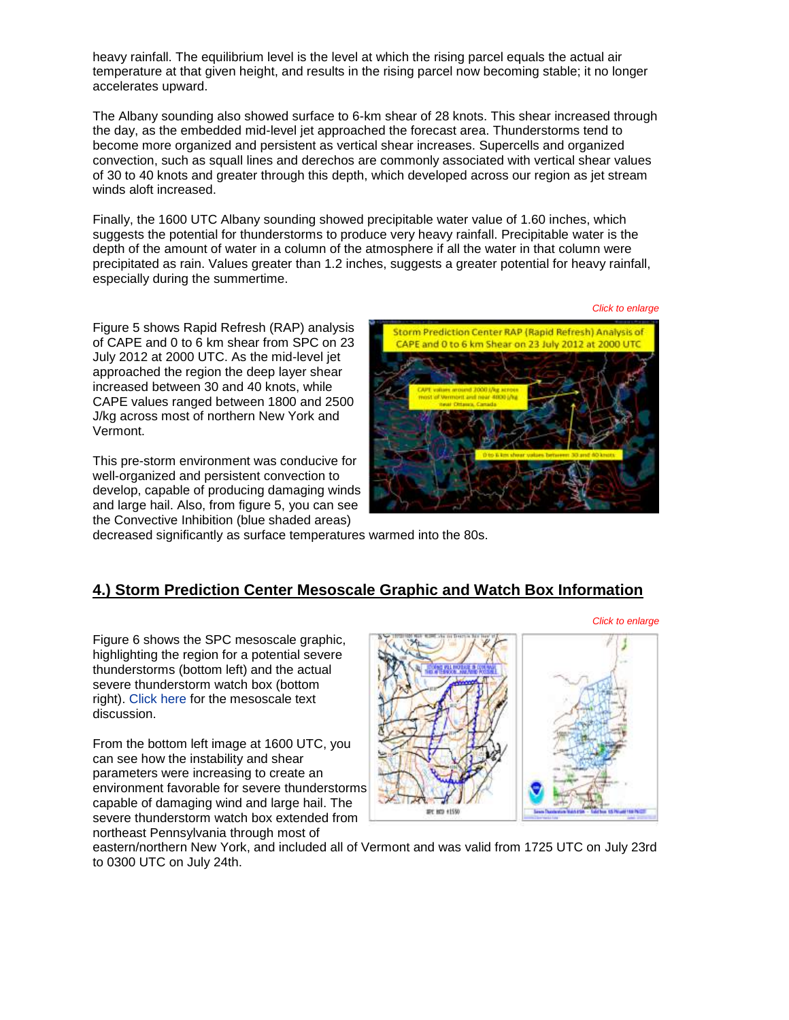heavy rainfall. The equilibrium level is the level at which the rising parcel equals the actual air temperature at that given height, and results in the rising parcel now becoming stable; it no longer accelerates upward.

The Albany sounding also showed surface to 6-km shear of 28 knots. This shear increased through the day, as the embedded mid-level jet approached the forecast area. Thunderstorms tend to become more organized and persistent as vertical shear increases. Supercells and organized convection, such as squall lines and derechos are commonly associated with vertical shear values of 30 to 40 knots and greater through this depth, which developed across our region as jet stream winds aloft increased.

Finally, the 1600 UTC Albany sounding showed precipitable water value of 1.60 inches, which suggests the potential for thunderstorms to produce very heavy rainfall. Precipitable water is the depth of the amount of water in a column of the atmosphere if all the water in that column were precipitated as rain. Values greater than 1.2 inches, suggests a greater potential for heavy rainfall, especially during the summertime.

Figure 5 shows Rapid Refresh (RAP) analysis of CAPE and 0 to 6 km shear from SPC on 23 July 2012 at 2000 UTC. As the mid-level jet approached the region the deep layer shear increased between 30 and 40 knots, while CAPE values ranged between 1800 and 2500 J/kg across most of northern New York and Vermont.

This pre-storm environment was conducive for well-organized and persistent convection to develop, capable of producing damaging winds and large hail. Also, from figure 5, you can see the Convective Inhibition (blue shaded areas)



decreased significantly as surface temperatures warmed into the 80s.

#### **4.) Storm Prediction Center Mesoscale Graphic and Watch Box Information**

Figure 6 shows the SPC mesoscale graphic, highlighting the region for a potential severe thunderstorms (bottom left) and the actual severe thunderstorm watch box (bottom right). [Click here](http://www.weather.gov/media/btv/events/23July2012/SWOMCD.pdf) for the mesoscale text discussion.

From the bottom left image at 1600 UTC, you can see how the instability and shear parameters were increasing to create an environment favorable for severe thunderstorms capable of damaging wind and large hail. The severe thunderstorm watch box extended from northeast Pennsylvania through most of



eastern/northern New York, and included all of Vermont and was valid from 1725 UTC on July 23rd to 0300 UTC on July 24th.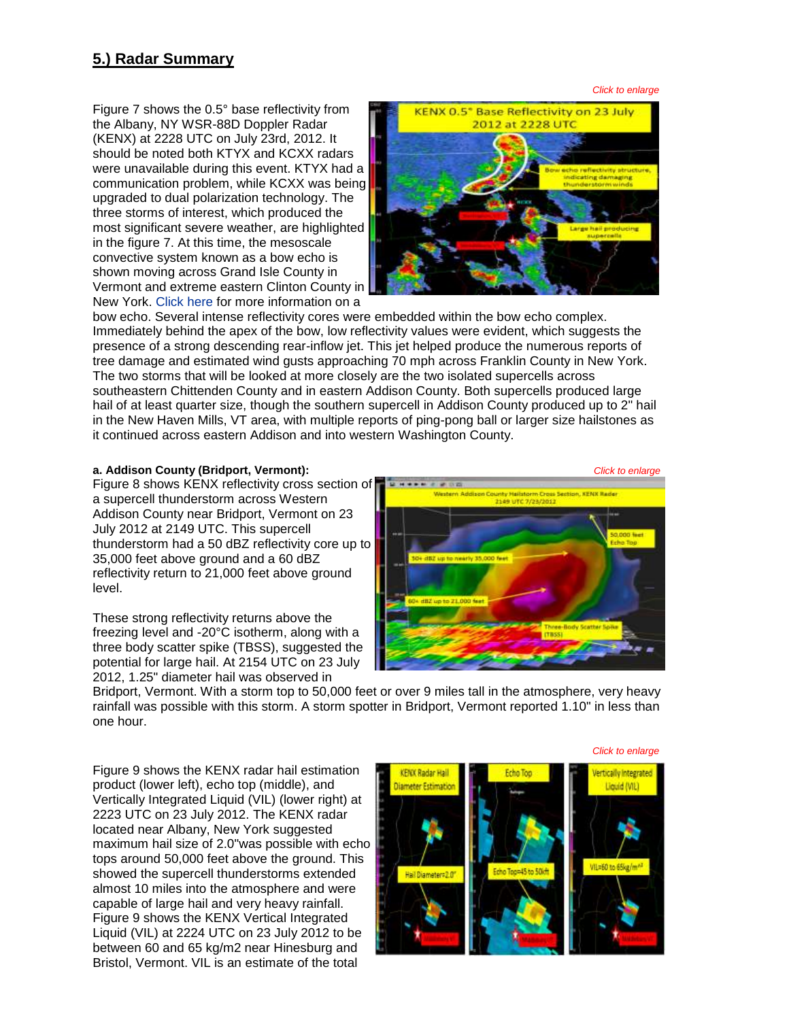### **5.) Radar Summary**

Figure 7 shows the 0.5° base reflectivity from the Albany, NY WSR-88D Doppler Radar (KENX) at 2228 UTC on July 23rd, 2012. It should be noted both KTYX and KCXX radars were unavailable during this event. KTYX had a communication problem, while KCXX was being upgraded to dual polarization technology. The three storms of interest, which produced the most significant severe weather, are highlighted in the figure 7. At this time, the mesoscale convective system known as a bow echo is shown moving across Grand Isle County in Vermont and extreme eastern Clinton County in New York. [Click here](http://en.wikipedia.org/wiki/Bow_echo) for more information on a



bow echo. Several intense reflectivity cores were embedded within the bow echo complex. Immediately behind the apex of the bow, low reflectivity values were evident, which suggests the presence of a strong descending rear-inflow jet. This jet helped produce the numerous reports of tree damage and estimated wind gusts approaching 70 mph across Franklin County in New York. The two storms that will be looked at more closely are the two isolated supercells across southeastern Chittenden County and in eastern Addison County. Both supercells produced large hail of at least quarter size, though the southern supercell in Addison County produced up to 2" hail in the New Haven Mills, VT area, with multiple reports of ping-pong ball or larger size hailstones as it continued across eastern Addison and into western Washington County.

Figure 8 shows KENX reflectivity cross section of a supercell thunderstorm across Western Addison County near Bridport, Vermont on 23 July 2012 at 2149 UTC. This supercell thunderstorm had a 50 dBZ reflectivity core up to 35,000 feet above ground and a 60 dBZ reflectivity return to 21,000 feet above ground level.

These strong reflectivity returns above the freezing level and -20°C isotherm, along with a three body scatter spike (TBSS), suggested the potential for large hail. At 2154 UTC on 23 July 2012, 1.25" diameter hail was observed in



Bridport, Vermont. With a storm top to 50,000 feet or over 9 miles tall in the atmosphere, very heavy rainfall was possible with this storm. A storm spotter in Bridport, Vermont reported 1.10" in less than one hour.

Figure 9 shows the KENX radar hail estimation product (lower left), echo top (middle), and Vertically Integrated Liquid (VIL) (lower right) at 2223 UTC on 23 July 2012. The KENX radar located near Albany, New York suggested maximum hail size of 2.0"was possible with echo tops around 50,000 feet above the ground. This showed the supercell thunderstorms extended almost 10 miles into the atmosphere and were capable of large hail and very heavy rainfall. Figure 9 shows the KENX Vertical Integrated Liquid (VIL) at 2224 UTC on 23 July 2012 to be between 60 and 65 kg/m2 near Hinesburg and Bristol, Vermont. VIL is an estimate of the total



*Click to enlarge*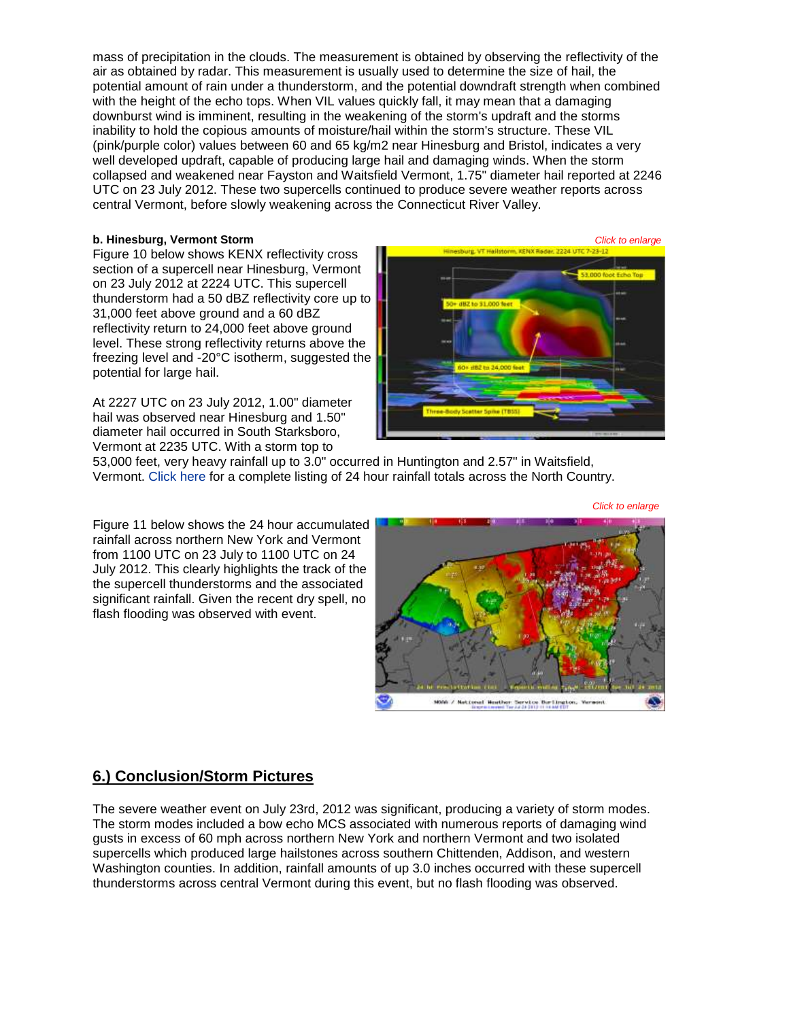mass of precipitation in the clouds. The measurement is obtained by observing the reflectivity of the air as obtained by radar. This measurement is usually used to determine the size of hail, the potential amount of rain under a thunderstorm, and the potential downdraft strength when combined with the height of the echo tops. When VIL values quickly fall, it may mean that a damaging downburst wind is imminent, resulting in the weakening of the storm's updraft and the storms inability to hold the copious amounts of moisture/hail within the storm's structure. These VIL (pink/purple color) values between 60 and 65 kg/m2 near Hinesburg and Bristol, indicates a very well developed updraft, capable of producing large hail and damaging winds. When the storm collapsed and weakened near Fayston and Waitsfield Vermont, 1.75" diameter hail reported at 2246 UTC on 23 July 2012. These two supercells continued to produce severe weather reports across central Vermont, before slowly weakening across the Connecticut River Valley.

Figure 10 below shows KENX reflectivity cross section of a supercell near Hinesburg, Vermont on 23 July 2012 at 2224 UTC. This supercell thunderstorm had a 50 dBZ reflectivity core up to 31,000 feet above ground and a 60 dBZ reflectivity return to 24,000 feet above ground level. These strong reflectivity returns above the freezing level and -20°C isotherm, suggested the potential for large hail.

At 2227 UTC on 23 July 2012, 1.00" diameter hail was observed near Hinesburg and 1.50" diameter hail occurred in South Starksboro, Vermont at 2235 UTC. With a storm top to



MODA / National Heather Service Barileston, Varsont

53,000 feet, very heavy rainfall up to 3.0" occurred in Huntington and 2.57" in Waitsfield, Vermont. [Click here](http://www.weather.gov/media/btv/events/23July2012/Precip.pdf) for a complete listing of 24 hour rainfall totals across the North Country.



*Click to enlarge*

Figure 11 below shows the 24 hour accumulated rainfall across northern New York and Vermont from 1100 UTC on 23 July to 1100 UTC on 24 July 2012. This clearly highlights the track of the the supercell thunderstorms and the associated significant rainfall. Given the recent dry spell, no flash flooding was observed with event.



The severe weather event on July 23rd, 2012 was significant, producing a variety of storm modes. The storm modes included a bow echo MCS associated with numerous reports of damaging wind gusts in excess of 60 mph across northern New York and northern Vermont and two isolated supercells which produced large hailstones across southern Chittenden, Addison, and western Washington counties. In addition, rainfall amounts of up 3.0 inches occurred with these supercell thunderstorms across central Vermont during this event, but no flash flooding was observed.